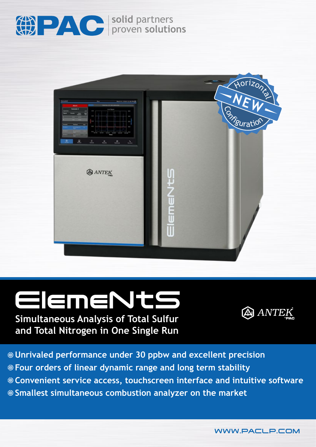

**solid** partners proven **solutions**



# ElemeNtS **Simultaneous Analysis of Total Sulfur**

## A ANTEK

**and Total Nitrogen in One Single Run**

**Unrivaled performance under 30 ppbw and excellent precision Four orders of linear dynamic range and long term stability Convenient service access, touchscreen interface and intuitive software Smallest simultaneous combustion analyzer on the market**

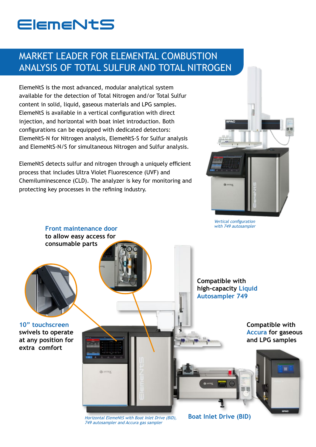# **ElemeNtS**

### MARKET LEADER FOR ELEMENTAL COMBUSTION ANALYSIS OF TOTAL SULFUR AND TOTAL NITROGEN

ElemeNtS is the most advanced, modular analytical system available for the detection of Total Nitrogen and/or Total Sulfur content in solid, liquid, gaseous materials and LPG samples. ElemeNtS is available in a vertical configuration with direct injection, and horizontal with boat inlet introduction. Both configurations can be equipped with dedicated detectors: ElemeNtS-N for Nitrogen analysis, ElemeNtS-S for Sulfur analysis and ElemeNtS-N/S for simultaneous Nitrogen and Sulfur analysis.

ElemeNtS detects sulfur and nitrogen through a uniquely efficient process that includes Ultra Violet Fluorescence (UVF) and Chemiluminescence (CLD). The analyzer is key for monitoring and protecting key processes in the refining industry.



Vertical configuration with 749 autosampler



Horizontal ElemeNtS with Boat Inlet Drive (BID), 749 autosampler and Accura gas sampler

**Boat Inlet Drive (BID)**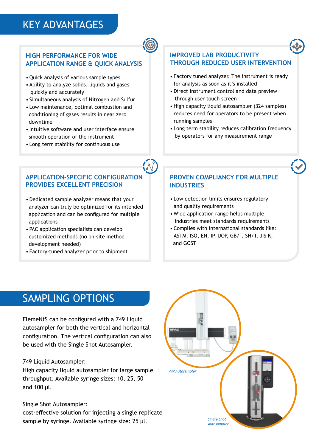## KEY ADVANTAGES

#### **HIGH PERFORMANCE FOR WIDE APPLICATION RANGE & QUICK ANALYSIS**

- Quick analysis of various sample types
- Ability to analyze solids, liquids and gases quickly and accurately
- Simultaneous analysis of Nitrogen and Sulfur
- Low maintenance, optimal combustion and conditioning of gases results in near zero downtime
- Intuitive software and user interface ensure smooth operation of the instrument
- Long term stability for continuous use

#### **APPLICATION-SPECIFIC CONFIGURATION PROVIDES EXCELLENT PRECISION**

- Dedicated sample analyzer means that your analyzer can truly be optimized for its intended application and can be configured for multiple applications
- PAC application specialists can develop customized methods (no on-site method development needed)
- Factory-tuned analyzer prior to shipment

#### **IMPROVED LAB PRODUCTIVITY THROUGH REDUCED USER INTERVENTION**

- Factory tuned analyzer. The instrument is ready for analysis as soon as it's installed
- Direct instrument control and data preview through user touch screen
- High capacity liquid autosampler (324 samples) reduces need for operators to be present when running samples
- Long term stability reduces calibration frequency by operators for any measurement range

#### **PROVEN COMPLIANCY FOR MULTIPLE INDUSTRIES**

- Low detection limits ensures regulatory and quality requirements
- Wide application range helps multiple industries meet standards requirements
- Complies with international standards like: ASTM, ISO, EN, IP, UOP, GB/T, SH/T, JIS K, and GOST

## SAMPLING OPTIONS

ElemeNtS can be configured with a 749 Liquid autosampler for both the vertical and horizontal configuration. The vertical configuration can also be used with the Single Shot Autosampler.

749 Liquid Autosampler:

High capacity liquid autosampler for large sample throughput. Available syringe sizes: 10, 25, 50 and 100 µl.

#### Single Shot Autosampler:

cost-effective solution for injecting a single replicate sample by syringe. Available syringe size: 25 µl.